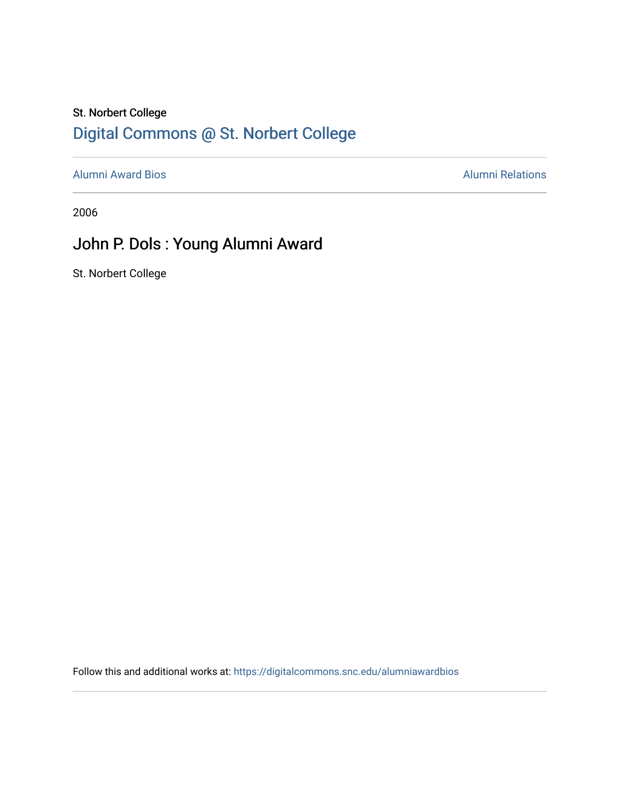## St. Norbert College [Digital Commons @ St. Norbert College](https://digitalcommons.snc.edu/)

[Alumni Award Bios](https://digitalcommons.snc.edu/alumniawardbios) **Alumni Relations** Alumni Relations

2006

## John P. Dols : Young Alumni Award

St. Norbert College

Follow this and additional works at: [https://digitalcommons.snc.edu/alumniawardbios](https://digitalcommons.snc.edu/alumniawardbios?utm_source=digitalcommons.snc.edu%2Falumniawardbios%2F13&utm_medium=PDF&utm_campaign=PDFCoverPages)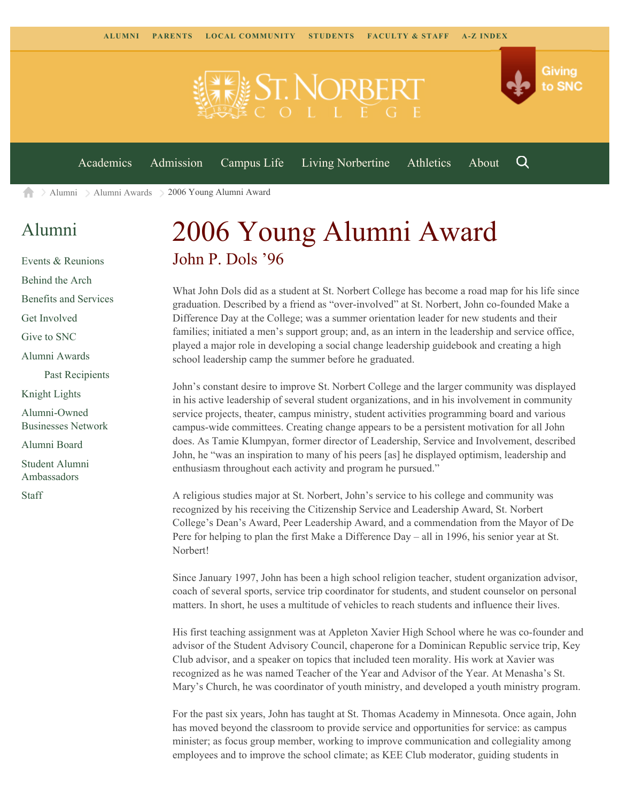

[Alumni](https://www.snc.edu/alumni/) [Alumni Awards](https://www.snc.edu/alumni/awards/) 2006 Young Alumni Award A

## [Alumni](https://www.snc.edu/alumni/index.html)

[Events & Reunions](https://www.snc.edu/alumni/event/index.html) [Behind the Arch](https://www.snc.edu/alumni/event/behindthearch/) [Benefits and Services](https://www.snc.edu/alumni/benefits.html) [Get Involved](https://www.snc.edu/alumni/getinvolved.html) [Give to SNC](http://giving.snc.edu/) [Alumni Awards](https://www.snc.edu/alumni/awards/index.html) [Past Recipients](https://www.snc.edu/alumni/awards/recipients.html) [Knight Lights](https://www.snc.edu/alumni/knightlights/index.html) [Alumni-Owned](https://www.snc.edu/alumni/directory/index.html) [Businesses Network](https://www.snc.edu/alumni/directory/index.html) [Alumni Board](https://www.snc.edu/alumni/alumniboard.html) [Student Alumni](https://www.snc.edu/alumni/saa.html) [Ambassadors](https://www.snc.edu/alumni/saa.html)

[Staff](https://www.snc.edu/alumni/contactus.html)

## 2006 Young Alumni Award John P. Dols '96

What John Dols did as a student at St. Norbert College has become a road map for his life since graduation. Described by a friend as "over-involved" at St. Norbert, John co-founded Make a Difference Day at the College; was a summer orientation leader for new students and their families; initiated a men's support group; and, as an intern in the leadership and service office, played a major role in developing a social change leadership guidebook and creating a high school leadership camp the summer before he graduated.

John's constant desire to improve St. Norbert College and the larger community was displayed in his active leadership of several student organizations, and in his involvement in community service projects, theater, campus ministry, student activities programming board and various campus-wide committees. Creating change appears to be a persistent motivation for all John does. As Tamie Klumpyan, former director of Leadership, Service and Involvement, described John, he "was an inspiration to many of his peers [as] he displayed optimism, leadership and enthusiasm throughout each activity and program he pursued."

A religious studies major at St. Norbert, John's service to his college and community was recognized by his receiving the Citizenship Service and Leadership Award, St. Norbert College's Dean's Award, Peer Leadership Award, and a commendation from the Mayor of De Pere for helping to plan the first Make a Difference Day – all in 1996, his senior year at St. Norbert!

Since January 1997, John has been a high school religion teacher, student organization advisor, coach of several sports, service trip coordinator for students, and student counselor on personal matters. In short, he uses a multitude of vehicles to reach students and influence their lives.

His first teaching assignment was at Appleton Xavier High School where he was co-founder and advisor of the Student Advisory Council, chaperone for a Dominican Republic service trip, Key Club advisor, and a speaker on topics that included teen morality. His work at Xavier was recognized as he was named Teacher of the Year and Advisor of the Year. At Menasha's St. Mary's Church, he was coordinator of youth ministry, and developed a youth ministry program.

For the past six years, John has taught at St. Thomas Academy in Minnesota. Once again, John has moved beyond the classroom to provide service and opportunities for service: as campus minister; as focus group member, working to improve communication and collegiality among employees and to improve the school climate; as KEE Club moderator, guiding students in